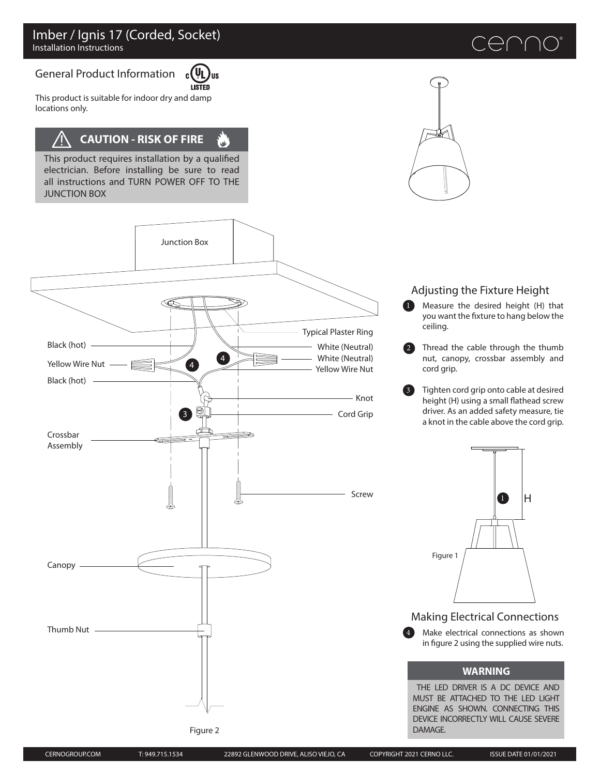#### General Product Information c ( **LISTED**

This product is suitable for indoor dry and damp locations only.

# **CAUTION - RISK OF FIRE**

This product requires installation by a qualified electrician. Before installing be sure to read all instructions and TURN POWER OFF TO THE JUNCTION BOX



ΊIS

 $\mathbf{u}^{\prime}$ 

Figure 2



## Adjusting the Fixture Height

Measure the desired height (H) that you want the fixture to hang below the ceiling.  $\bf{a}$ 

Thread the cable through the thumb nut, canopy, crossbar assembly and cord grip. 2

Tighten cord grip onto cable at desired height (H) using a small flathead screw driver. As an added safety measure, tie a knot in the cable above the cord grip. 3



Making Electrical Connections

Make electrical connections as shown in figure 2 using the supplied wire nuts. 4

### **WARNING**

THE LED DRIVER IS A DC DEVICE AND MUST BE ATTACHED TO THE LED LIGHT ENGINE AS SHOWN. CONNECTING THIS DEVICE INCORRECTLY WILL CAUSE SEVERE DAMAGE.